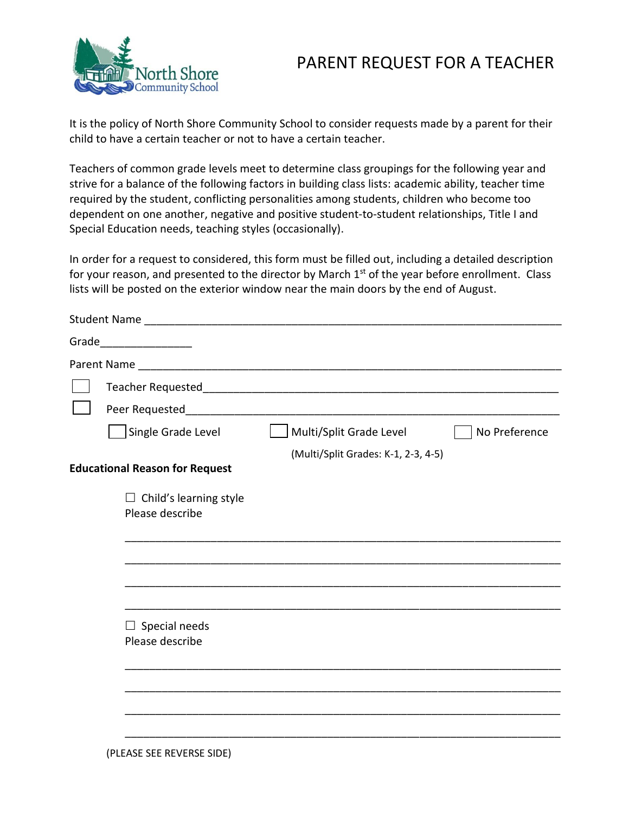## PARENT REQUEST FOR A TEACHER



It is the policy of North Shore Community School to consider requests made by a parent for their child to have a certain teacher or not to have a certain teacher.

Teachers of common grade levels meet to determine class groupings for the following year and strive for a balance of the following factors in building class lists: academic ability, teacher time required by the student, conflicting personalities among students, children who become too dependent on one another, negative and positive student-to-student relationships, Title I and Special Education needs, teaching styles (occasionally).

In order for a request to considered, this form must be filled out, including a detailed description for your reason, and presented to the director by March  $1<sup>st</sup>$  of the year before enrollment. Class lists will be posted on the exterior window near the main doors by the end of August.

| Grade________________                            |                                     |               |
|--------------------------------------------------|-------------------------------------|---------------|
|                                                  |                                     |               |
| Teacher Requested                                |                                     |               |
| Peer Requested_                                  |                                     |               |
| Single Grade Level                               | Multi/Split Grade Level             | No Preference |
| <b>Educational Reason for Request</b>            | (Multi/Split Grades: K-1, 2-3, 4-5) |               |
| $\Box$ Child's learning style<br>Please describe |                                     |               |
|                                                  |                                     |               |
|                                                  |                                     |               |
|                                                  |                                     |               |
| $\Box$ Special needs<br>Please describe          |                                     |               |
|                                                  |                                     |               |
|                                                  |                                     |               |
|                                                  |                                     |               |
|                                                  |                                     |               |

(PLEASE SEE REVERSE SIDE)